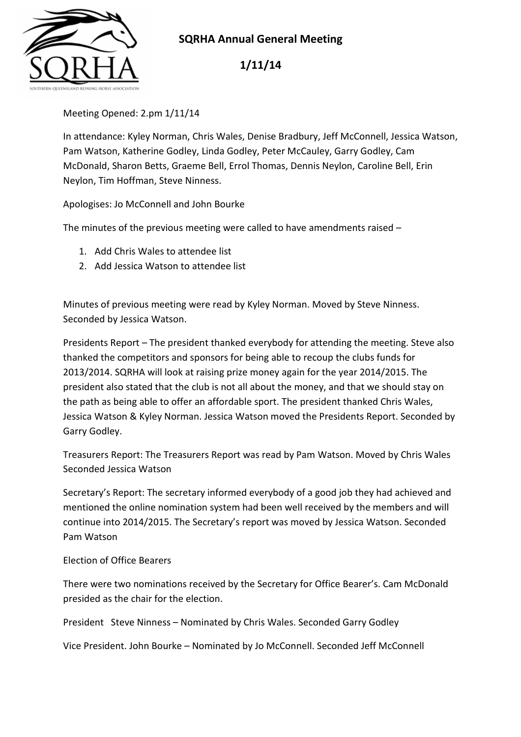

## **SQRHA Annual General Meeting**

**1/11/14** 

Meeting Opened: 2.pm 1/11/14

In attendance: Kyley Norman, Chris Wales, Denise Bradbury, Jeff McConnell, Jessica Watson, Pam Watson, Katherine Godley, Linda Godley, Peter McCauley, Garry Godley, Cam McDonald, Sharon Betts, Graeme Bell, Errol Thomas, Dennis Neylon, Caroline Bell, Erin Neylon, Tim Hoffman, Steve Ninness.

Apologises: Jo McConnell and John Bourke

The minutes of the previous meeting were called to have amendments raised –

- 1. Add Chris Wales to attendee list
- 2. Add Jessica Watson to attendee list

Minutes of previous meeting were read by Kyley Norman. Moved by Steve Ninness. Seconded by Jessica Watson.

Presidents Report – The president thanked everybody for attending the meeting. Steve also thanked the competitors and sponsors for being able to recoup the clubs funds for 2013/2014. SQRHA will look at raising prize money again for the year 2014/2015. The president also stated that the club is not all about the money, and that we should stay on the path as being able to offer an affordable sport. The president thanked Chris Wales, Jessica Watson & Kyley Norman. Jessica Watson moved the Presidents Report. Seconded by Garry Godley.

Treasurers Report: The Treasurers Report was read by Pam Watson. Moved by Chris Wales Seconded Jessica Watson

Secretary's Report: The secretary informed everybody of a good job they had achieved and mentioned the online nomination system had been well received by the members and will continue into 2014/2015. The Secretary's report was moved by Jessica Watson. Seconded Pam Watson

Election of Office Bearers

There were two nominations received by the Secretary for Office Bearer's. Cam McDonald presided as the chair for the election.

President Steve Ninness – Nominated by Chris Wales. Seconded Garry Godley

Vice President. John Bourke – Nominated by Jo McConnell. Seconded Jeff McConnell